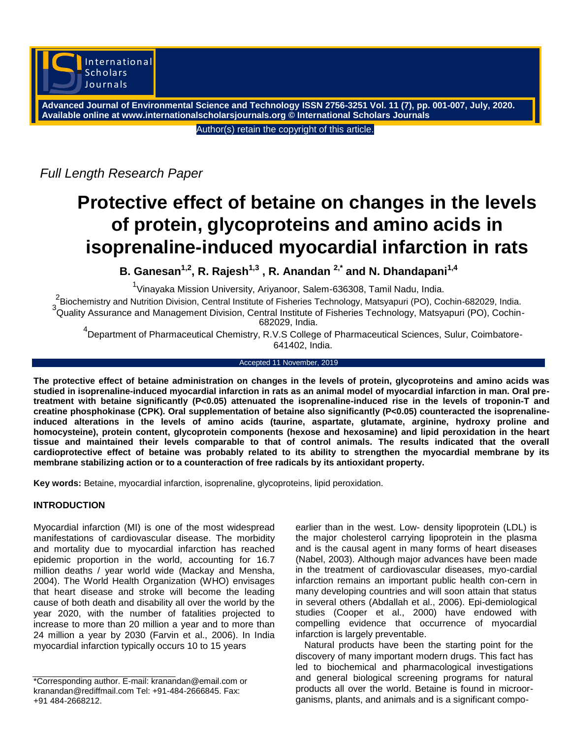

**Advanced Journal of Environmental Science and Technology ISSN 2756-3251 Vol. 11 (7), pp. 001-007, July, 2020. Available online at www.internationalscholarsjournals.org © International Scholars Journals**

Author(s) retain the copyright of this article.

*Full Length Research Paper*

# **Protective effect of betaine on changes in the levels of protein, glycoproteins and amino acids in isoprenaline-induced myocardial infarction in rats**

**B. Ganesan1,2, R. Rajesh1,3 , R. Anandan 2,\* and N. Dhandapani1,4**

<sup>1</sup>Vinayaka Mission University, Ariyanoor, Salem-636308, Tamil Nadu, India.

<sup>2</sup> Biochemistry and Nutrition Division, Central Institute of Fisheries Technology, Matsyapuri (PO), Cochin-682029, India. 3 Quality Assurance and Management Division, Central Institute of Fisheries Technology, Matsyapuri (PO), Cochin-682029, India.

4 Department of Pharmaceutical Chemistry, R.V.S College of Pharmaceutical Sciences, Sulur, Coimbatore-641402, India.

### Accepted 11 November, 2019

**The protective effect of betaine administration on changes in the levels of protein, glycoproteins and amino acids was studied in isoprenaline-induced myocardial infarction in rats as an animal model of myocardial infarction in man. Oral pretreatment with betaine significantly (P<0.05) attenuated the isoprenaline-induced rise in the levels of troponin-T and creatine phosphokinase (CPK). Oral supplementation of betaine also significantly (P<0.05) counteracted the isoprenalineinduced alterations in the levels of amino acids (taurine, aspartate, glutamate, arginine, hydroxy proline and homocysteine), protein content, glycoprotein components (hexose and hexosamine) and lipid peroxidation in the heart tissue and maintained their levels comparable to that of control animals. The results indicated that the overall cardioprotective effect of betaine was probably related to its ability to strengthen the myocardial membrane by its membrane stabilizing action or to a counteraction of free radicals by its antioxidant property.**

**Key words:** Betaine, myocardial infarction, isoprenaline, glycoproteins, lipid peroxidation.

# **INTRODUCTION**

Myocardial infarction (MI) is one of the most widespread manifestations of cardiovascular disease. The morbidity and mortality due to myocardial infarction has reached epidemic proportion in the world, accounting for 16.7 million deaths / year world wide (Mackay and Mensha, 2004). The World Health Organization (WHO) envisages that heart disease and stroke will become the leading cause of both death and disability all over the world by the year 2020, with the number of fatalities projected to increase to more than 20 million a year and to more than 24 million a year by 2030 (Farvin et al., 2006). In India myocardial infarction typically occurs 10 to 15 years

earlier than in the west. Low- density lipoprotein (LDL) is the major cholesterol carrying lipoprotein in the plasma and is the causal agent in many forms of heart diseases (Nabel, 2003). Although major advances have been made in the treatment of cardiovascular diseases, myo-cardial infarction remains an important public health con-cern in many developing countries and will soon attain that status in several others (Abdallah et al., 2006). Epi-demiological studies (Cooper et al., 2000) have endowed with compelling evidence that occurrence of myocardial infarction is largely preventable.

Natural products have been the starting point for the discovery of many important modern drugs. This fact has led to biochemical and pharmacological investigations and general biological screening programs for natural products all over the world. Betaine is found in microorganisms, plants, and animals and is a significant compo-

<sup>\*</sup>Corresponding author. E-mail: kranandan@email.com or kranandan@rediffmail.com Tel: +91-484-2666845. Fax: +91 484-2668212.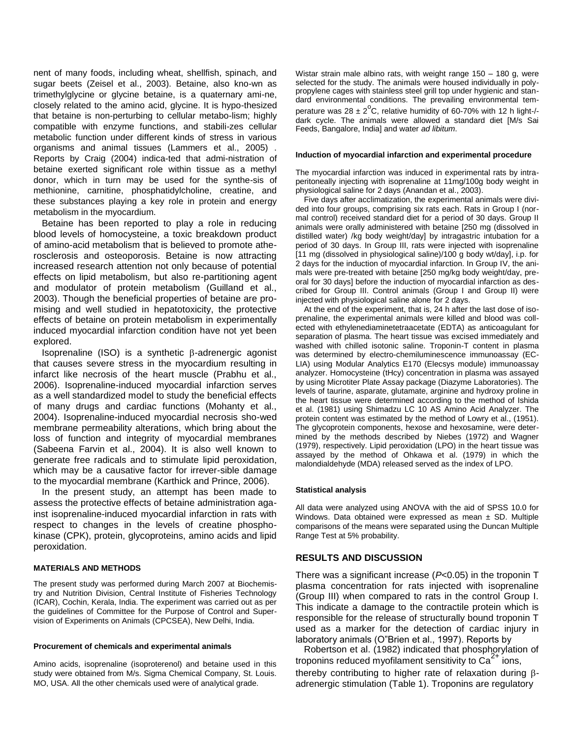nent of many foods, including wheat, shellfish, spinach, and sugar beets (Zeisel et al., 2003). Betaine, also kno-wn as trimethylglycine or glycine betaine, is a quaternary ami-ne, closely related to the amino acid, glycine. It is hypo-thesized that betaine is non-perturbing to cellular metabo-lism; highly compatible with enzyme functions, and stabili-zes cellular metabolic function under different kinds of stress in various organisms and animal tissues (Lammers et al., 2005) . Reports by Craig (2004) indica-ted that admi-nistration of betaine exerted significant role within tissue as a methyl donor, which in turn may be used for the synthe-sis of methionine, carnitine, phosphatidylcholine, creatine, and these substances playing a key role in protein and energy metabolism in the myocardium.

Betaine has been reported to play a role in reducing blood levels of homocysteine, a toxic breakdown product of amino-acid metabolism that is believed to promote atherosclerosis and osteoporosis. Betaine is now attracting increased research attention not only because of potential effects on lipid metabolism, but also re-partitioning agent and modulator of protein metabolism (Guilland et al., 2003). Though the beneficial properties of betaine are promising and well studied in hepatotoxicity, the protective effects of betaine on protein metabolism in experimentally induced myocardial infarction condition have not yet been explored.

Isoprenaline (ISO) is a synthetic  $\beta$ -adrenergic agonist that causes severe stress in the myocardium resulting in infarct like necrosis of the heart muscle (Prabhu et al., 2006). Isoprenaline-induced myocardial infarction serves as a well standardized model to study the beneficial effects of many drugs and cardiac functions (Mohanty et al., 2004). Isoprenaline-induced myocardial necrosis sho-wed membrane permeability alterations, which bring about the loss of function and integrity of myocardial membranes (Sabeena Farvin et al., 2004). It is also well known to generate free radicals and to stimulate lipid peroxidation, which may be a causative factor for irrever-sible damage to the myocardial membrane (Karthick and Prince, 2006).

In the present study, an attempt has been made to assess the protective effects of betaine administration against isoprenaline-induced myocardial infarction in rats with respect to changes in the levels of creatine phosphokinase (CPK), protein, glycoproteins, amino acids and lipid peroxidation.

# **MATERIALS AND METHODS**

The present study was performed during March 2007 at Biochemistry and Nutrition Division, Central Institute of Fisheries Technology (ICAR), Cochin, Kerala, India. The experiment was carried out as per the guidelines of Committee for the Purpose of Control and Supervision of Experiments on Animals (CPCSEA), New Delhi, India.

#### **Procurement of chemicals and experimental animals**

Amino acids, isoprenaline (isoproterenol) and betaine used in this study were obtained from M/s. Sigma Chemical Company, St. Louis. MO, USA. All the other chemicals used were of analytical grade.

Wistar strain male albino rats, with weight range 150 – 180 g, were selected for the study. The animals were housed individually in polypropylene cages with stainless steel grill top under hygienic and standard environmental conditions. The prevailing environmental temperature was  $28 \pm 2^{\circ}$ C, relative humidity of 60-70% with 12 h light-/dark cycle. The animals were allowed a standard diet [M/s Sai Feeds, Bangalore, India] and water *ad libitum*.

#### **Induction of myocardial infarction and experimental procedure**

The myocardial infarction was induced in experimental rats by intraperitoneally injecting with isoprenaline at 11mg/100g body weight in physiological saline for 2 days (Anandan et al., 2003).

Five days after acclimatization, the experimental animals were divided into four groups, comprising six rats each. Rats in Group I (normal control) received standard diet for a period of 30 days. Group II animals were orally administered with betaine [250 mg (dissolved in distilled water) /kg body weight/day] by intragastric intubation for a period of 30 days. In Group III, rats were injected with isoprenaline [11 mg (dissolved in physiological saline)/100 g body wt/day], i.p. for 2 days for the induction of myocardial infarction. In Group IV, the animals were pre-treated with betaine [250 mg/kg body weight/day, preoral for 30 days] before the induction of myocardial infarction as described for Group III. Control animals (Group I and Group II) were injected with physiological saline alone for 2 days.

At the end of the experiment, that is, 24 h after the last dose of isoprenaline, the experimental animals were killed and blood was collected with ethylenediaminetetraacetate (EDTA) as anticoagulant for separation of plasma. The heart tissue was excised immediately and washed with chilled isotonic saline. Troponin-T content in plasma was determined by electro-chemiluminescence immunoassay (EC-LIA) using Modular Analytics E170 (Elecsys module) immunoassay analyzer. Homocysteine (tHcy) concentration in plasma was assayed by using Microtiter Plate Assay package (Diazyme Laboratories). The levels of taurine, asparate, glutamate, arginine and hydroxy proline in the heart tissue were determined according to the method of Ishida et al. (1981) using Shimadzu LC 10 AS Amino Acid Analyzer. The protein content was estimated by the method of Lowry et al., (1951). The glycoprotein components, hexose and hexosamine, were determined by the methods described by Niebes (1972) and Wagner (1979), respectively. Lipid peroxidation (LPO) in the heart tissue was assayed by the method of Ohkawa et al. (1979) in which the malondialdehyde (MDA) released served as the index of LPO.

#### **Statistical analysis**

All data were analyzed using ANOVA with the aid of SPSS 10.0 for Windows. Data obtained were expressed as mean  $\pm$  SD. Multiple comparisons of the means were separated using the Duncan Multiple Range Test at 5% probability.

# **RESULTS AND DISCUSSION**

There was a significant increase (*P*<0.05) in the troponin T plasma concentration for rats injected with isoprenaline (Group III) when compared to rats in the control Group I. This indicate a damage to the contractile protein which is responsible for the release of structurally bound troponin T used as a marker for the detection of cardiac injury in laboratory animals (O"Brien et al., 1997). Reports by

Robertson et al. (1982) indicated that phosphorylation of troponins reduced myofilament sensitivity to  $Ca<sup>2+</sup>$  ions, thereby contributing to higher rate of relaxation during  $\beta$ adrenergic stimulation (Table 1). Troponins are regulatory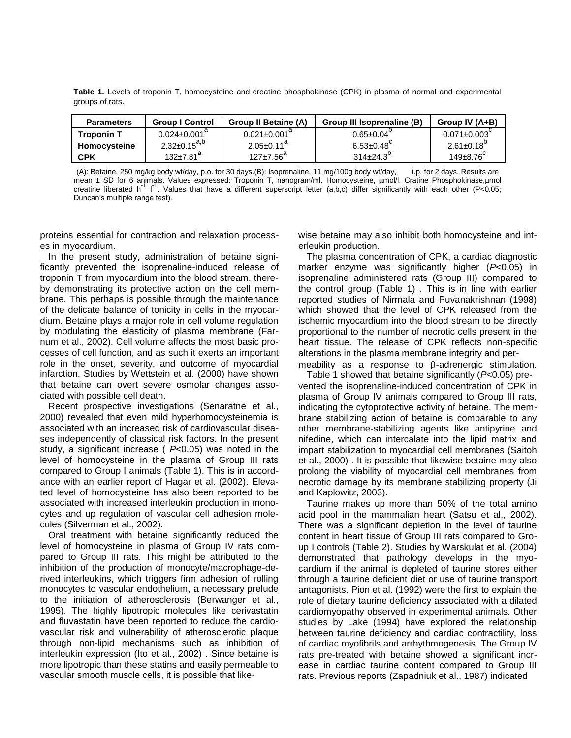**Table 1.** Levels of troponin T, homocysteine and creatine phosphokinase (CPK) in plasma of normal and experimental groups of rats.

| <b>Parameters</b> | <b>Group I Control</b>      | <b>Group II Betaine (A)</b> | Group III Isoprenaline (B) | Group IV (A+B)    |
|-------------------|-----------------------------|-----------------------------|----------------------------|-------------------|
| <b>Troponin T</b> | $0.024 \pm 0.001^{\circ}$   | $0.021 \pm 0.001^{\circ}$   | $0.65 \pm 0.04$            | $0.071 \pm 0.003$ |
| Homocysteine      | $2.32 \pm 0.15^{a,b}$       | $2.05 \pm 0.11^{\circ}$     | $6.53 \pm 0.48$            | $2.61 \pm 0.18$   |
| <b>CPK</b>        | $132 \pm 7.81$ <sup>a</sup> | $127 \pm 7.56^{\circ}$      | $314\pm24.3$               | $149\pm8.76$      |

(A): Betaine, 250 mg/kg body wt/day, p.o. for 30 days.(B): Isoprenaline, 11 mg/100g body wt/day, i.p. for 2 days. Results are mean ± SD for 6 animals. Values expressed: Troponin T, nanogram/ml. Homocysteine, µmol/l. Cratine Phosphokinase,µmol creatine liberated h<sup>-1</sup> l<sup>-1</sup>. Values that have a different superscript letter (a,b,c) differ significantly with each other (P<0.05; Duncan's multiple range test).

proteins essential for contraction and relaxation processes in myocardium.

In the present study, administration of betaine significantly prevented the isoprenaline-induced release of troponin T from myocardium into the blood stream, thereby demonstrating its protective action on the cell membrane. This perhaps is possible through the maintenance of the delicate balance of tonicity in cells in the myocardium. Betaine plays a major role in cell volume regulation by modulating the elasticity of plasma membrane (Farnum et al., 2002). Cell volume affects the most basic processes of cell function, and as such it exerts an important role in the onset, severity, and outcome of myocardial infarction. Studies by Wettstein et al. (2000) have shown that betaine can overt severe osmolar changes associated with possible cell death.

Recent prospective investigations (Senaratne et al., 2000) revealed that even mild hyperhomocysteinemia is associated with an increased risk of cardiovascular diseases independently of classical risk factors. In the present study, a significant increase ( *P*<0.05) was noted in the level of homocysteine in the plasma of Group III rats compared to Group I animals (Table 1). This is in accordance with an earlier report of Hagar et al. (2002). Elevated level of homocysteine has also been reported to be associated with increased interleukin production in monocytes and up regulation of vascular cell adhesion molecules (Silverman et al., 2002).

Oral treatment with betaine significantly reduced the level of homocysteine in plasma of Group IV rats compared to Group III rats. This might be attributed to the inhibition of the production of monocyte/macrophage-derived interleukins, which triggers firm adhesion of rolling monocytes to vascular endothelium, a necessary prelude to the initiation of atherosclerosis (Berwanger et al., 1995). The highly lipotropic molecules like cerivastatin and fluvastatin have been reported to reduce the cardiovascular risk and vulnerability of atherosclerotic plaque through non-lipid mechanisms such as inhibition of interleukin expression (Ito et al., 2002) . Since betaine is more lipotropic than these statins and easily permeable to vascular smooth muscle cells, it is possible that likewise betaine may also inhibit both homocysteine and interleukin production.

The plasma concentration of CPK, a cardiac diagnostic marker enzyme was significantly higher (*P*<0.05) in isoprenaline administered rats (Group III) compared to the control group (Table 1) . This is in line with earlier reported studies of Nirmala and Puvanakrishnan (1998) which showed that the level of CPK released from the ischemic myocardium into the blood stream to be directly proportional to the number of necrotic cells present in the heart tissue. The release of CPK reflects non-specific alterations in the plasma membrane integrity and permeability as a response to  $\beta$ -adrenergic stimulation.

Table 1 showed that betaine significantly (*P*<0.05) prevented the isoprenaline-induced concentration of CPK in plasma of Group IV animals compared to Group III rats, indicating the cytoprotective activity of betaine. The membrane stabilizing action of betaine is comparable to any other membrane-stabilizing agents like antipyrine and nifedine, which can intercalate into the lipid matrix and impart stabilization to myocardial cell membranes (Saitoh et al., 2000) . It is possible that likewise betaine may also prolong the viability of myocardial cell membranes from necrotic damage by its membrane stabilizing property (Ji and Kaplowitz, 2003).

Taurine makes up more than 50% of the total amino acid pool in the mammalian heart (Satsu et al., 2002). There was a significant depletion in the level of taurine content in heart tissue of Group III rats compared to Group I controls (Table 2). Studies by Warskulat et al. (2004) demonstrated that pathology develops in the myocardium if the animal is depleted of taurine stores either through a taurine deficient diet or use of taurine transport antagonists. Pion et al. (1992) were the first to explain the role of dietary taurine deficiency associated with a dilated cardiomyopathy observed in experimental animals. Other studies by Lake (1994) have explored the relationship between taurine deficiency and cardiac contractility, loss of cardiac myofibrils and arrhythmogenesis. The Group IV rats pre-treated with betaine showed a significant increase in cardiac taurine content compared to Group III rats. Previous reports (Zapadniuk et al., 1987) indicated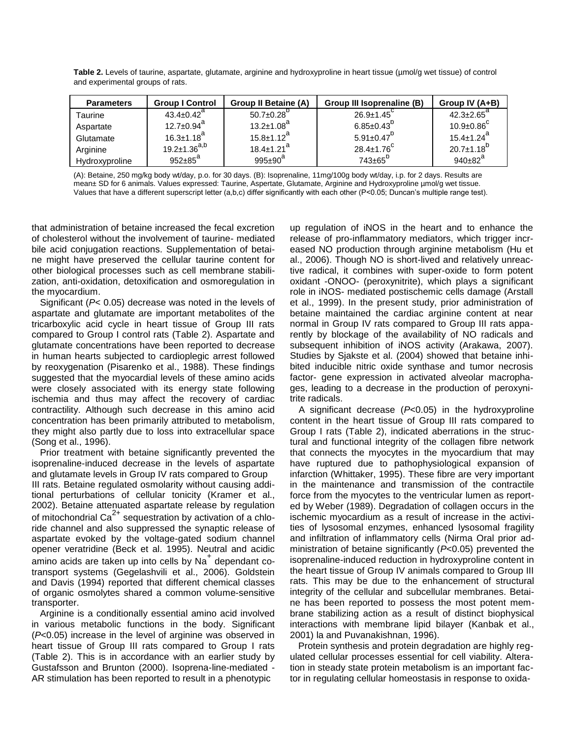**Table 2.** Levels of taurine, aspartate, glutamate, arginine and hydroxyproline in heart tissue (µmol/g wet tissue) of control and experimental groups of rats.

| <b>Parameters</b> | <b>Group I Control</b>       | <b>Group II Betaine (A)</b>  | Group III Isoprenaline (B) | Group IV (A+B)               |
|-------------------|------------------------------|------------------------------|----------------------------|------------------------------|
| Taurine           | $43.4 \pm 0.42$ <sup>a</sup> | $50.7 \pm 0.28$              | $26.9 \pm 1.45$            | $42.3 \pm 2.65^{\circ}$      |
| Aspartate         | $12.7 \pm 0.94$ <sup>a</sup> | $13.2 \pm 1.08$ <sup>a</sup> | $6.85 \pm 0.43^{0}$        | $10.9 \pm 0.86$              |
| Glutamate         | $16.3 \pm 1.18$ <sup>a</sup> | $15.8 \pm 1.12^a$            | $5.91 \pm 0.47^0$          | $15.4 \pm 1.24$ <sup>a</sup> |
| Arginine          | $19.2 \pm 1.36^{a,b}$        | $18.4 \pm 1.21$ <sup>a</sup> | $28.4 \pm 1.76$            | $20.7 \pm 1.18^{D}$          |
| Hydroxyproline    | $952 \pm 85^a$               | $995 \pm 90^{\circ}$         | $743\pm65$ <sup>D</sup>    | $940 \pm 82^{a}$             |

(A): Betaine, 250 mg/kg body wt/day, p.o. for 30 days. (B): Isoprenaline, 11mg/100g body wt/day, i.p. for 2 days. Results are mean± SD for 6 animals. Values expressed: Taurine, Aspertate, Glutamate, Arginine and Hydroxyproline µmol/g wet tissue. Values that have a different superscript letter (a,b,c) differ significantly with each other (P<0.05; Duncan's multiple range test).

that administration of betaine increased the fecal excretion of cholesterol without the involvement of taurine- mediated bile acid conjugation reactions. Supplementation of betaine might have preserved the cellular taurine content for other biological processes such as cell membrane stabilization, anti-oxidation, detoxification and osmoregulation in the myocardium.

Significant (*P*< 0.05) decrease was noted in the levels of aspartate and glutamate are important metabolites of the tricarboxylic acid cycle in heart tissue of Group III rats compared to Group I control rats (Table 2). Aspartate and glutamate concentrations have been reported to decrease in human hearts subjected to cardioplegic arrest followed by reoxygenation (Pisarenko et al., 1988). These findings suggested that the myocardial levels of these amino acids were closely associated with its energy state following ischemia and thus may affect the recovery of cardiac contractility. Although such decrease in this amino acid concentration has been primarily attributed to metabolism, they might also partly due to loss into extracellular space (Song et al., 1996).

Prior treatment with betaine significantly prevented the isoprenaline-induced decrease in the levels of aspartate and glutamate levels in Group IV rats compared to Group III rats. Betaine regulated osmolarity without causing additional perturbations of cellular tonicity (Kramer et al., 2002). Betaine attenuated aspartate release by regulation of mitochondrial  $Ca^{2+}$  sequestration by activation of a chloride channel and also suppressed the synaptic release of aspartate evoked by the voltage-gated sodium channel opener veratridine (Beck et al. 1995). Neutral and acidic amino acids are taken up into cells by Na<sup>+</sup> dependant cotransport systems (Gegelashvili et al., 2006). Goldstein and Davis (1994) reported that different chemical classes of organic osmolytes shared a common volume-sensitive transporter.

Arginine is a conditionally essential amino acid involved in various metabolic functions in the body. Significant (*P*<0.05) increase in the level of arginine was observed in heart tissue of Group III rats compared to Group I rats (Table 2). This is in accordance with an earlier study by Gustafsson and Brunton (2000). Isoprena-line-mediated - AR stimulation has been reported to result in a phenotypic

up regulation of iNOS in the heart and to enhance the release of pro-inflammatory mediators, which trigger increased NO production through arginine metabolism (Hu et al., 2006). Though NO is short-lived and relatively unreactive radical, it combines with super-oxide to form potent oxidant -ONOO- (peroxynitrite), which plays a significant role in iNOS- mediated postischemic cells damage (Arstall et al., 1999). In the present study, prior administration of betaine maintained the cardiac arginine content at near normal in Group IV rats compared to Group III rats apparently by blockage of the availability of NO radicals and subsequent inhibition of iNOS activity (Arakawa, 2007). Studies by Sjakste et al. (2004) showed that betaine inhibited inducible nitric oxide synthase and tumor necrosis factor- gene expression in activated alveolar macrophages, leading to a decrease in the production of peroxynitrite radicals.

A significant decrease (*P*<0.05) in the hydroxyproline content in the heart tissue of Group III rats compared to Group I rats (Table 2), indicated aberrations in the structural and functional integrity of the collagen fibre network that connects the myocytes in the myocardium that may have ruptured due to pathophysiological expansion of infarction (Whittaker, 1995). These fibre are very important in the maintenance and transmission of the contractile force from the myocytes to the ventricular lumen as reported by Weber (1989). Degradation of collagen occurs in the ischemic myocardium as a result of increase in the activities of lysosomal enzymes, enhanced lysosomal fragility and infiltration of inflammatory cells (Nirma Oral prior administration of betaine significantly (*P*<0.05) prevented the isoprenaline-induced reduction in hydroxyproline content in the heart tissue of Group IV animals compared to Group III rats. This may be due to the enhancement of structural integrity of the cellular and subcellular membranes. Betaine has been reported to possess the most potent membrane stabilizing action as a result of distinct biophysical interactions with membrane lipid bilayer (Kanbak et al., 2001) la and Puvanakishnan, 1996).

Protein synthesis and protein degradation are highly regulated cellular processes essential for cell viability. Alteration in steady state protein metabolism is an important factor in regulating cellular homeostasis in response to oxida-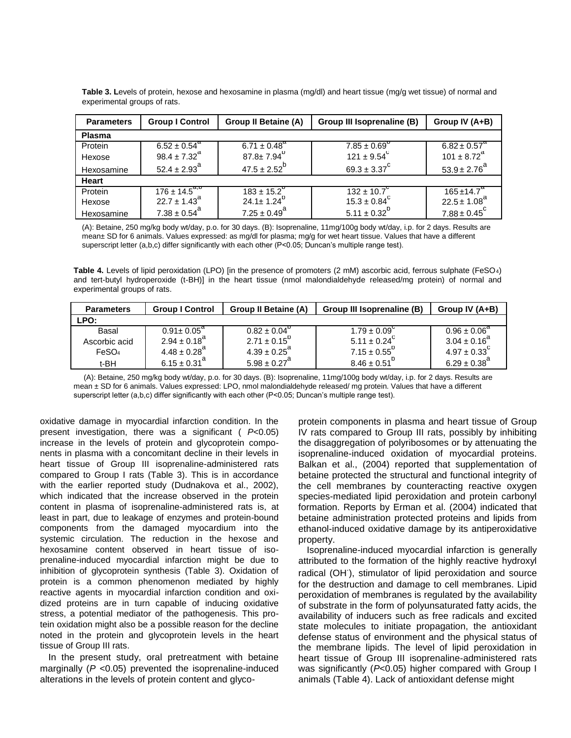| <b>Parameters</b> | <b>Group I Control</b>       | <b>Group II Betaine (A)</b> | Group III Isoprenaline (B)   | Group IV (A+B)               |
|-------------------|------------------------------|-----------------------------|------------------------------|------------------------------|
| <b>Plasma</b>     |                              |                             |                              |                              |
| Protein           | $6.52 \pm 0.54^{\circ}$      | 6.71 ± $0.48^{\circ}$       | $7.85 \pm 0.69$ <sup>0</sup> | $6.82 \pm 0.57^{\circ}$      |
| Hexose            | $98.4 \pm 7.32^{\text{a}}$   | $87.8 \pm 7.94^{\circ}$     | $121 \pm 9.54^{\circ}$       | $101 \pm 8.72^{\text{a}}$    |
| Hexosamine        | $52.4 \pm 2.93$ <sup>a</sup> | $47.5 \pm 2.52^{b}$         | $69.3 \pm 3.37^{\circ}$      | $53.9 \pm 2.76^{a}$          |
| Heart             |                              |                             |                              |                              |
| Protein           | $176 \pm 14.5^{a,0}$         | $183 \pm 15.2$              | $132 \pm 10.7$               | $165 \pm 14.7$ <sup>a</sup>  |
| Hexose            | $22.7 \pm 1.43^{\circ}$      | $24.1 \pm 1.24^{\circ}$     | $15.3 \pm 0.84^{\circ}$      | $22.5 \pm 1.08$ <sup>a</sup> |
| Hexosamine        | $7.38 \pm 0.54^{\circ}$      | $7.25 \pm 0.49^{\circ}$     | $5.11 \pm 0.32^{b}$          | $7.88 \pm 0.45^{\circ}$      |

**Table 3. L**evels of protein, hexose and hexosamine in plasma (mg/dl) and heart tissue (mg/g wet tissue) of normal and experimental groups of rats.

(A): Betaine, 250 mg/kg body wt/day, p.o. for 30 days. (B): Isoprenaline, 11mg/100g body wt/day, i.p. for 2 days. Results are mean± SD for 6 animals. Values expressed: as mg/dl for plasma; mg/g for wet heart tissue. Values that have a different superscript letter (a,b,c) differ significantly with each other (P<0.05; Duncan's multiple range test).

**Table 4.** Levels of lipid peroxidation (LPO) [in the presence of promoters (2 mM) ascorbic acid, ferrous sulphate (FeSO4) and tert-butyl hydroperoxide (t-BH)] in the heart tissue (nmol malondialdehyde released/mg protein) of normal and experimental groups of rats.

| <b>Parameters</b> | <b>Group I Control</b>       | <b>Group II Betaine (A)</b>  | Group III Isoprenaline (B) | Group IV (A+B)          |
|-------------------|------------------------------|------------------------------|----------------------------|-------------------------|
| LPO:              |                              |                              |                            |                         |
| Basal             | $0.91 \pm 0.05^{\circ}$      | $0.82 \pm 0.04^{\circ}$      | $1.79 \pm 0.09^{\circ}$    | $0.96 \pm 0.06^{\circ}$ |
| Ascorbic acid     | $2.94 \pm 0.18^{d}$          | $2.71 \pm 0.15^{\circ}$      | $5.11 \pm 0.24^{\circ}$    | $3.04 \pm 0.16^{a}$     |
| FeSO <sub>4</sub> | $4.48 \pm 0.28$ <sup>a</sup> | $4.39 \pm 0.25^{\text{a}}$   | $7.15 \pm 0.55^0$          | $4.97 \pm 0.33^{\circ}$ |
| t-BH              | $6.15 \pm 0.31^{a}$          | $5.98 \pm 0.27$ <sup>a</sup> | $8.46 \pm 0.51^{D}$        | $6.29 \pm 0.38^{a}$     |

(A): Betaine, 250 mg/kg body wt/day, p.o. for 30 days. (B): Isoprenaline, 11mg/100g body wt/day, i.p. for 2 days. Results are mean ± SD for 6 animals. Values expressed: LPO, nmol malondialdehyde released/ mg protein. Values that have a different superscript letter (a,b,c) differ significantly with each other (P<0.05; Duncan's multiple range test).

oxidative damage in myocardial infarction condition. In the present investigation, there was a significant ( *P*<0.05) increase in the levels of protein and glycoprotein components in plasma with a concomitant decline in their levels in heart tissue of Group III isoprenaline-administered rats compared to Group I rats (Table 3). This is in accordance with the earlier reported study (Dudnakova et al., 2002), which indicated that the increase observed in the protein content in plasma of isoprenaline-administered rats is, at least in part, due to leakage of enzymes and protein-bound components from the damaged myocardium into the systemic circulation. The reduction in the hexose and hexosamine content observed in heart tissue of isoprenaline-induced myocardial infarction might be due to inhibition of glycoprotein synthesis (Table 3). Oxidation of protein is a common phenomenon mediated by highly reactive agents in myocardial infarction condition and oxidized proteins are in turn capable of inducing oxidative stress, a potential mediator of the pathogenesis. This protein oxidation might also be a possible reason for the decline noted in the protein and glycoprotein levels in the heart tissue of Group III rats.

In the present study, oral pretreatment with betaine marginally (*P* <0.05) prevented the isoprenaline-induced alterations in the levels of protein content and glyco-

protein components in plasma and heart tissue of Group IV rats compared to Group III rats, possibly by inhibiting the disaggregation of polyribosomes or by attenuating the isoprenaline-induced oxidation of myocardial proteins. Balkan et al., (2004) reported that supplementation of betaine protected the structural and functional integrity of the cell membranes by counteracting reactive oxygen species-mediated lipid peroxidation and protein carbonyl formation. Reports by Erman et al. (2004) indicated that betaine administration protected proteins and lipids from ethanol-induced oxidative damage by its antiperoxidative property.

Isoprenaline-induced myocardial infarction is generally attributed to the formation of the highly reactive hydroxyl radical (OH), stimulator of lipid peroxidation and source for the destruction and damage to cell membranes. Lipid peroxidation of membranes is regulated by the availability of substrate in the form of polyunsaturated fatty acids, the availability of inducers such as free radicals and excited state molecules to initiate propagation, the antioxidant defense status of environment and the physical status of the membrane lipids. The level of lipid peroxidation in heart tissue of Group III isoprenaline-administered rats was significantly (*P*<0.05) higher compared with Group I animals (Table 4). Lack of antioxidant defense might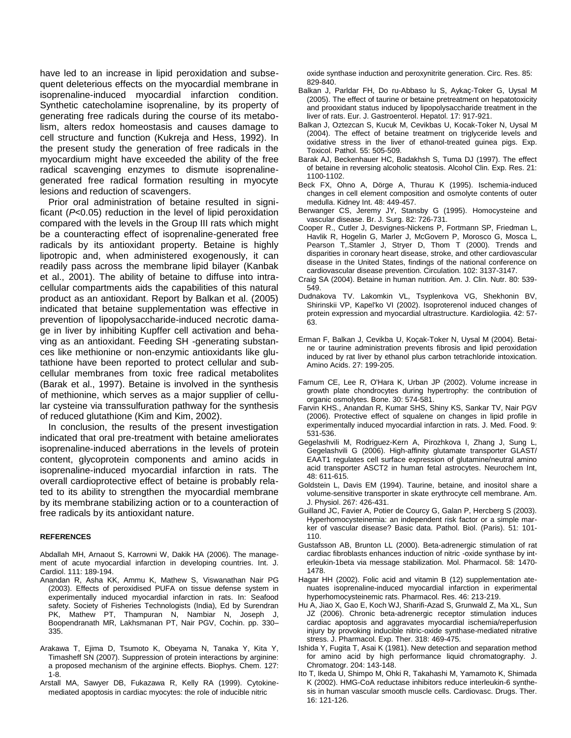have led to an increase in lipid peroxidation and subsequent deleterious effects on the myocardial membrane in isoprenaline-induced myocardial infarction condition. Synthetic catecholamine isoprenaline, by its property of generating free radicals during the course of its metabolism, alters redox homeostasis and causes damage to cell structure and function (Kukreja and Hess, 1992). In the present study the generation of free radicals in the myocardium might have exceeded the ability of the free radical scavenging enzymes to dismute isoprenalinegenerated free radical formation resulting in myocyte lesions and reduction of scavengers.

Prior oral administration of betaine resulted in significant (*P*<0.05) reduction in the level of lipid peroxidation compared with the levels in the Group III rats which might be a counteracting effect of isoprenaline-generated free radicals by its antioxidant property. Betaine is highly lipotropic and, when administered exogenously, it can readily pass across the membrane lipid bilayer (Kanbak et al., 2001). The ability of betaine to diffuse into intracellular compartments aids the capabilities of this natural product as an antioxidant. Report by Balkan et al. (2005) indicated that betaine supplementation was effective in prevention of lipopolysaccharide-induced necrotic damage in liver by inhibiting Kupffer cell activation and behaving as an antioxidant. Feeding SH -generating substances like methionine or non-enzymic antioxidants like glutathione have been reported to protect cellular and subcellular membranes from toxic free radical metabolites (Barak et al., 1997). Betaine is involved in the synthesis of methionine, which serves as a major supplier of cellular cysteine via transsulfuration pathway for the synthesis of reduced glutathione (Kim and Kim, 2002).

In conclusion, the results of the present investigation indicated that oral pre-treatment with betaine ameliorates isoprenaline-induced aberrations in the levels of protein content, glycoprotein components and amino acids in isoprenaline-induced myocardial infarction in rats. The overall cardioprotective effect of betaine is probably related to its ability to strengthen the myocardial membrane by its membrane stabilizing action or to a counteraction of free radicals by its antioxidant nature.

#### **REFERENCES**

Abdallah MH, Arnaout S, Karrowni W, Dakik HA (2006). The management of acute myocardial infarction in developing countries. Int. J. Cardiol. 111: 189-194.

- Anandan R, Asha KK, Ammu K, Mathew S, Viswanathan Nair PG (2003). Effects of peroxidised PUFA on tissue defense system in experimentally induced myocardial infarction in rats. In: Seafood safety. Society of Fisheries Technologists (India), Ed by Surendran PK, Mathew PT, Thampuran N, Nambiar N, Joseph J, Boopendranath MR, Lakhsmanan PT, Nair PGV, Cochin. pp. 330– 335.
- Arakawa T, Ejima D, Tsumoto K, Obeyama N, Tanaka Y, Kita Y, Timasheff SN (2007). Suppression of protein interactions by arginine: a proposed mechanism of the arginine effects. Biophys. Chem. 127: 1-8.
- Arstall MA, Sawyer DB, Fukazawa R, Kelly RA (1999). Cytokinemediated apoptosis in cardiac myocytes: the role of inducible nitric

oxide synthase induction and peroxynitrite generation. Circ. Res. 85: 829-840.

- Balkan J, Parldar FH, Do ru-Abbaso lu S, Aykaç-Toker G, Uysal M (2005). The effect of taurine or betaine pretreatment on hepatotoxicity and prooxidant status induced by lipopolysaccharide treatment in the liver of rats. Eur. J. Gastroenterol. Hepatol. 17: 917-921.
- Balkan J, Oztezcan S, Kucuk M, Cevikbas U, Kocak-Toker N, Uysal M (2004). The effect of betaine treatment on triglyceride levels and oxidative stress in the liver of ethanol-treated guinea pigs. Exp. Toxicol. Pathol. 55: 505-509.
- Barak AJ, Beckenhauer HC, Badakhsh S, Tuma DJ (1997). The effect of betaine in reversing alcoholic steatosis. Alcohol Clin. Exp. Res. 21: 1100-1102.
- Beck FX, Ohno A, Dörge A, Thurau K (1995). Ischemia-induced changes in cell element composition and osmolyte contents of outer medulla. Kidney Int. 48: 449-457.
- Berwanger CS, Jeremy JY, Stansby G (1995). Homocysteine and vascular disease. Br. J. Surg. 82: 726-731.
- Cooper R., Cutler J, Desvignes-Nickens P, Fortmann SP, Friedman L, Havlik R, Hogelin G, Marler J, McGovern P, Morosco G, Mosca L, Pearson T,.Stamler J, Stryer D, Thom T (2000). Trends and disparities in coronary heart disease, stroke, and other cardiovascular disease in the United States, findings of the national conference on cardiovascular disease prevention. Circulation. 102: 3137-3147.
- Craig SA (2004). Betaine in human nutrition. Am. J. Clin. Nutr. 80: 539- 549.
- Dudnakova TV. Lakomkin VL, Tsyplenkova VG, Shekhonin BV, Shirinskii VP, Kapel'ko VI (2002). Isoproterenol induced changes of protein expression and myocardial ultrastructure. Kardiologiia. 42: 57- 63.
- Erman F, Balkan J, Cevikba U, Koçak-Toker N, Uysal M (2004). Betaine or taurine administration prevents fibrosis and lipid peroxidation induced by rat liver by ethanol plus carbon tetrachloride intoxication. Amino Acids. 27: 199-205.
- Farnum CE, Lee R, O'Hara K, Urban JP (2002). Volume increase in growth plate chondrocytes during hypertrophy: the contribution of organic osmolytes. Bone. 30: 574-581.
- Farvin KHS., Anandan R, Kumar SHS, Shiny KS, Sankar TV, Nair PGV (2006). Protective effect of squalene on changes in lipid profile in experimentally induced myocardial infarction in rats. J. Med. Food. 9: 531-536.
- Gegelashvili M, Rodriguez-Kern A, Pirozhkova I, Zhang J, Sung L, Gegelashvili G (2006). High-affinity glutamate transporter GLAST/ EAAT1 regulates cell surface expression of glutamine/neutral amino acid transporter ASCT2 in human fetal astrocytes. Neurochem Int, 48: 611-615.
- Goldstein L, Davis EM (1994). Taurine, betaine, and inositol share a volume-sensitive transporter in skate erythrocyte cell membrane. Am. J. Physiol. 267: 426-431.
- Guilland JC, Favier A, Potier de Courcy G, Galan P, Hercberg S (2003). Hyperhomocysteinemia: an independent risk factor or a simple marker of vascular disease? Basic data. Pathol. Biol. (Paris). 51: 101- 110.
- Gustafsson AB, Brunton LL (2000). Beta-adrenergic stimulation of rat cardiac fibroblasts enhances induction of nitric -oxide synthase by interleukin-1beta via message stabilization. Mol. Pharmacol. 58: 1470- 1478.
- Hagar HH (2002). Folic acid and vitamin B (12) supplementation atenuates isoprenaline-induced myocardial infarction in experimental hyperhomocysteinemic rats. Pharmacol. Res. 46: 213-219.
- Hu A, Jiao X, Gao E, Koch WJ, Sharifi-Azad S, Grunwald Z, Ma XL, Sun JZ (2006). Chronic beta-adrenergic receptor stimulation induces cardiac apoptosis and aggravates myocardial ischemia/reperfusion injury by provoking inducible nitric-oxide synthase-mediated nitrative stress. J. Pharmacol. Exp. Ther. 318: 469-475.
- Ishida Y, Fugita T, Asai K (1981). New detection and separation method for amino acid by high performance liquid chromatography. J. Chromatogr. 204: 143-148.
- Ito T, Ikeda U, Shimpo M, Ohki R, Takahashi M, Yamamoto K, Shimada K (2002). HMG-CoA reductase inhibitors reduce interleukin-6 synthesis in human vascular smooth muscle cells. Cardiovasc. Drugs. Ther. 16: 121-126.